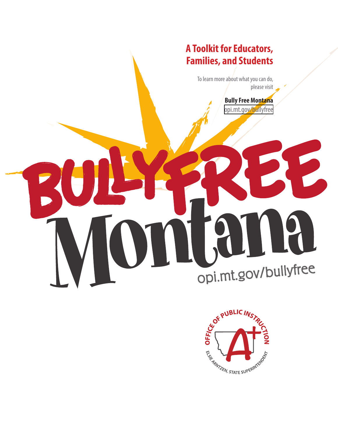# **A Toolkit for Educators, Families, and Students**

To learn more about what you can do, please visit

> **Bully Free Montana**  [opi.mt.gov/bullyfree](http://opi.mt.gov/Families-Students/Family-Student-Support/Bullying-Prevention)

opi.mt.gov/bullyfree

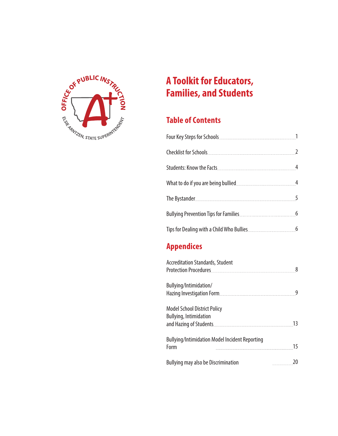

# **A Toolkit for Educators, Families, and Students**

## **Table of Contents**

## **Appendices**

| <b>Accreditation Standards, Student</b>                              |    |
|----------------------------------------------------------------------|----|
| Bullying/Intimidation/                                               |    |
| <b>Model School District Policy</b><br><b>Bullying, Intimidation</b> |    |
| <b>Bullying/Intimidation Model Incident Reporting</b><br>Form        | 15 |
| <b>Bullying may also be Discrimination</b>                           | 20 |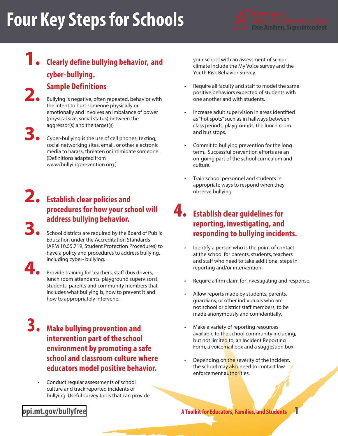# **Four Key Steps for Schools**



# **1. Clearly define bullying behavior, and cyber-bullying. Sample Definitions**:

**2.** Bullying is negative, often repeated, behavior with the intent to hurt someone physically or emotionally and involves an imbalance of power (physical size, social status) between the

J l í

j

֚֚֡

aggressor(s) and the target(s)<br>**Cyber-bullying is the use of cell phones, texting,** social networking sites, email, or other electronic media to harass, threaten or intimidate someone. (Definitions adapted from www/bullyingprevention.org.)

#### **2. Establish clear policies and procedures for how your school will address bullying behavior.**

**3.** School districts are required by the Board of Public Education under the Accreditation Standards (ARM 10.55.719, Student Protection Procedures) to have a policy and procedures to address bullying, including cyber- bullying.

Provide training for teachers, staff (bus drivers, lunch room attendants, playground supervisors), students, parents and community members that includes what bullying is, how to prevent it and how to appropriately intervene.

- **3. Make bullying prevention and intervention part of the school environment by promoting a safe school and classroom culture where educators model positive behavior.**
	- Conduct regular assessments of school culture and track reported incidents of bullying. Useful survey tools that can provide

#### **[opi.mt.gov/bullyfree](http://opi.mt.gov/Families-Students/Family-Student-Support/Bullying-Prevention)**

your school with an assessment of school climate include the My Voice survey and the Youth Risk Behavior Survey.

- Require all faculty and staff to model the same positive behaviors expected of students with one another and with students.
- Increase adult supervision in areas identified as "hot spots" such as in hallways between class periods, playgrounds, the lunch room and bus stops.
- Commit to bullying prevention for the long term. Successful prevention efforts are an on-going part of the school curriculum and culture.
- Train school personnel and students in appropriate ways to respond when they observe bullying.

## **4. Establish clear guidelines for reporting, investigating, and responding to bullying incidents.**

- Identify a person who is the point of contact at the school for parents, students, teachers and staff who need to take additional steps in reporting and/or intervention.
- Require a firm claim for investigating and response.
- Allow reports made by students, parents, guardians, or other individuals who are not school or district staff members, to be made anonymously and confidentially.
- Make a variety of reporting resources available to the school community including, but not limited to, an Incident Reporting Form, a voicemail box and a suggestion box.
- Depending on the severity of the incident, the school may also need to contact law enforcement authorities.

**A Toolkit for Educators, Families, and Students 1**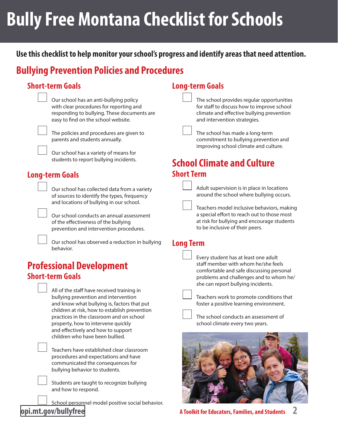# **Bully Free Montana Checklist for Schools**

**Use this checklist to help monitor your school's progress and identify areas that need attention. Bullying Prevention Policies and Procedures** 

### **Short-term Goals Long-term Goals**

| Our school has an anti-bullying policy      |
|---------------------------------------------|
| with clear procedures for reporting and     |
| responding to bullying. These documents are |
| easy to find on the school website.         |



The policies and procedures are given to parents and students annually.

Our school has a variety of means for students to report bullying incidents.

### **Long-term Goals**

Our school has collected data from a variety of sources to identify the types, frequency and locations of bullying in our school.

Our school conducts an annual assessment of the effectiveness of the bullying prevention and intervention procedures.

Our school has observed a reduction in bullying behavior.

## **Professional Development Short-term Goals**

All of the staff have received training in bullying prevention and intervention and know what bullying is, factors that put children at risk, how to establish prevention practices in the classroom and on school property, how to intervene quickly and effectively and how to support children who have been bullied.

Teachers have established clear classroom procedures and expectations and have communicated the consequences for bullying behavior to students.

Students are taught to recognize bullying and how to respond.

School personnel model positive social behavior. **[opi.mt.gov/bullyfree](http://opi.mt.gov/Families-Students/Family-Student-Support/Bullying-Prevention)** 

The school provides regular opportunities for staff to discuss how to improve school climate and effective bullying prevention and intervention strategies.

The school has made a long-term commitment to bullying prevention and improving school climate and culture.

### **School Climate and Culture Short Term**

Adult supervision is in place in locations around the school where bullying occurs.

Teachers model inclusive behaviors, making a special effort to reach out to those most at risk for bullying and encourage students to be inclusive of their peers.

#### **Long Term**

Teachers work to promote conditions that foster a positive learning environment.

The school conducts an assessment of school climate every two years.



**A Toolkit for Educators, Families, and Students 2**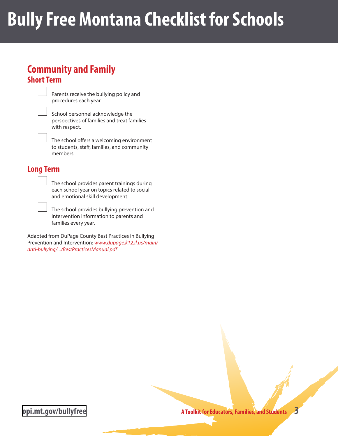# **Bully Free Montana Checklist for Schools**

## **Community and Family Short Term**



Parents receive the bullying policy and procedures each year.



School personnel acknowledge the perspectives of families and treat families with respect.



The school offers a welcoming environment to students, staff, families, and community members.

#### **Long Term**

The school provides parent trainings during each school year on topics related to social and emotional skill development.

The school provides bullying prevention and intervention information to parents and families every year.

Adapted from DuPage County Best Practices in Bullying Prevention and Intervention: *[www.dupage.k12.il.us/main/](www.dupage.k12.il.us/main/anti-bullying/.../BestPracticesManual.pdf) [anti-bullying/.../BestPracticesManual.pdf](www.dupage.k12.il.us/main/anti-bullying/.../BestPracticesManual.pdf)*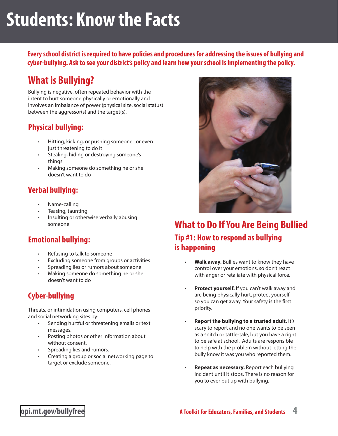# **Students: Know the Facts**

**Every school district is required to have policies and procedures for addressing the issues of bullying and cyber-bullying. Ask to see your district's policy and learn how your school is implementing the policy.** 

# **What is Bullying?**

Bullying is negative, often repeated behavior with the intent to hurt someone physically or emotionally and involves an imbalance of power (physical size, social status) between the aggressor(s) and the target(s).

#### **Physical bullying:**

- Hitting, kicking, or pushing someone...or even just threatening to do it
- Stealing, hiding or destroying someone's things
- Making someone do something he or she doesn't want to do

### **Verbal bullying:**

- Name-calling
- Teasing, taunting
- Insulting or otherwise verbally abusing someone

### **Emotional bullying:**

- Refusing to talk to someone
- Excluding someone from groups or activities
- Spreading lies or rumors about someone
- Making someone do something he or she doesn't want to do

### **Cyber-bullying**

Threats, or intimidation using computers, cell phones and social networking sites by:

- Sending hurtful or threatening emails or text messages.
- Posting photos or other information about without consent.
- Spreading lies and rumors.
- Creating a group or social networking page to target or exclude someone.



## **What to Do If You Are Being Bullied Tip #1: How to respond as bullying is happening**

- **Walk away.** Bullies want to know they have control over your emotions, so don't react with anger or retaliate with physical force.
- Protect yourself. If you can't walk away and are being physically hurt, protect yourself so you can get away. Your safety is the first priority.
- **Report the bullying to a trusted adult.** It's scary to report and no one wants to be seen as a snitch or tattle-tale, but you have a right to be safe at school. Adults are responsible to help with the problem without letting the bully know it was you who reported them.
- **Repeat as necessary.** Report each bullying incident until it stops. There is no reason for you to ever put up with bullying.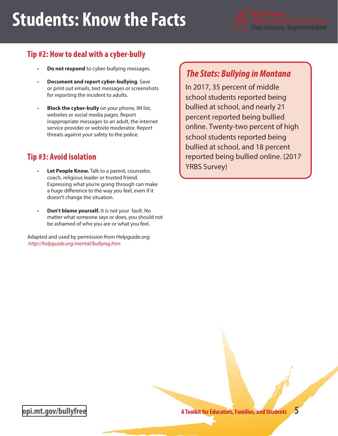# **Students: Know the Facts**



### **Tip #2: How to deal with a cyber-bully**

- **Do not respond** to cyber-bullying messages.
- **Document and report cyber-bullying**. Save or print out emails, text messages or screenshots for reporting the incident to adults.
- **Block the cyber-bully** on your phone, IM list, websites or social media pages. Report inappropriate messages to an adult, the internet service provider or website moderator. Report threats against your safety to the police.

#### **Tip #3: Avoid isolation**

- **Let People Know.** Talk to a parent, counselor, coach, religious leader or trusted friend. Expressing what you're going through can make a huge difference to the way you feel, even if it doesn't change the situation.
- **Don't blame yourself.** It is not your fault. No matter what someone says or does, you should not be ashamed of who you are or what you feel.

Adapted and used by permission from Helpguide.org:  *[http://helpguide.org/mental/bullying.htm](http://helpguide.org/mental/bullying.htm )* 

### *The Stats: Bullying in Montana*

In 2017, 35 percent of middle school students reported being bullied at school, and nearly 21 percent reported being bullied online. Twenty-two percent of high school students reported being bullied at school, and 18 percent reported being bullied online. (2017 **YRBS** Survey)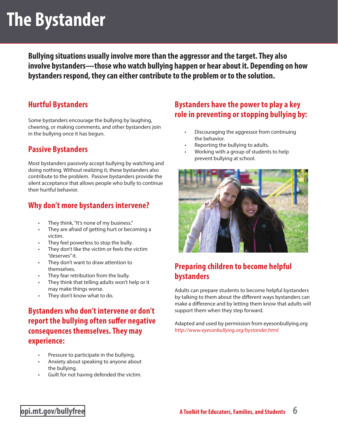# **The Bystander**

**Bullying situations usually involve more than the aggressor and the target. They also involve bystanders—those who watch bullying happen or hear about it. Depending on how bystanders respond, they can either contribute to the problem or to the solution.** 

#### **Hurtful Bystanders**

Some bystanders encourage the bullying by laughing, cheering, or making comments, and other bystanders join in the bullying once it has begun.

#### **Passive Bystanders**

Most bystanders passively accept bullying by watching and doing nothing. Without realizing it, these bystanders also contribute to the problem. Passive bystanders provide the silent acceptance that allows people who bully to continue their hurtful behavior.

#### **Why don't more bystanders intervene?**

- They think, "It's none of my business."
- They are afraid of getting hurt or becoming a victim.
- They feel powerless to stop the bully.
- They don't like the victim or feels the victim "deserves" it.
- They don't want to draw attention to themselves.
- They fear retribution from the bully.
- They think that telling adults won't help or it may make things worse.
- They don't know what to do.

#### **Bystanders who don't intervene or don't report the bullying often suffer negative consequences themselves. They may experience:**

- Pressure to participate in the bullying.
- Anxiety about speaking to anyone about the bullying.
- Guilt for not having defended the victim.

#### **Bystanders have the power to play a key role in preventing or stopping bullying by:**

- Discouraging the aggressor from continuing the behavior.
- Reporting the bullying to adults.
- Working with a group of students to help prevent bullying at school.



### **Preparing children to become helpful bystanders**

Adults can prepare students to become helpful bystanders by talking to them about the different ways bystanders can make a difference and by letting them know that adults will support them when they step forward.

Adapted and used by permission from eyesonbullying.org *[http://www.eyesonbullying.org/bystander.html](http://www.eyesonbullying.org/bystander.html )*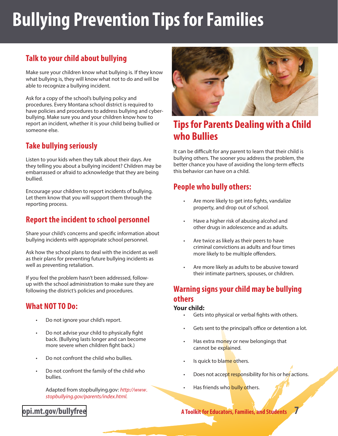# **Bullying Prevention Tips for Families**

### **Talk to your child about bullying**

Make sure your children know what bullying is. If they know what bullying is, they will know what not to do and will be able to recognize a bullying incident.

Ask for a copy of the school's bullying policy and procedures. Every Montana school district is required to have policies and procedures to address bullying and cyberbullying. Make sure you and your children know how to report an incident, whether it is your child being bullied or someone else.

### **Take bullying seriously**

Listen to your kids when they talk about their days. Are they telling you about a bullying incident? Children may be embarrassed or afraid to acknowledge that they are being bullied.

Encourage your children to report incidents of bullying. Let them know that you will support them through the reporting process.

#### **Report the incident to school personnel**

Share your child's concerns and specific information about bullying incidents with appropriate school personnel.

Ask how the school plans to deal with the incident as well as their plans for preventing future bullying incidents as well as preventing retaliation.

If you feel the problem hasn't been addressed, followup with the school administration to make sure they are following the district's policies and procedures.

#### **What NOT TO Do:**

- Do not ignore your child's report.
- Do not advise your child to physically fight back. (Bullying lasts longer and can become more severe when children fight back.)
- Do not confront the child who bullies.
- Do not confront the family of the child who bullies.

Adapted from stopbullying.gov: *http://www*. *stopbullying.gov/parents/index.html.* 



# **Tips for Parents Dealing with a Child who Bullies**

It can be difficult for any parent to learn that their child is bullying others. The sooner you address the problem, the better chance you have of avoiding the long-term effects this behavior can have on a child.

#### **People who bully others:**

- Are more likely to get into fights, vandalize property, and drop out of school.
- Have a higher risk of abusing alcohol and other drugs in adolescence and as adults.
- Are twice as likely as their peers to have criminal convictions as adults and four times more likely to be multiple offenders.
- Are more likely as adults to be abusive toward their intimate partners, spouses, or children.

### **Warning signs your child may be bullying others**

#### **Your child:**

- Gets into physical or verbal fights with others.
- Gets sent to the principal's office or detention a lot.
- Has extra money or new belongings that cannot be explained.
- Is quick to blame others.
- Does not accept responsibility for his or her actions.
- Has friends who bully others.

**[opi.mt.gov/bullyfree](http://opi.mt.gov/Families-Students/Family-Student-Support/Bullying-Prevention)** *A Toolkit for Educators, Families, and Students* **7 <b>***A Toolkit for Educators, Families, and Students*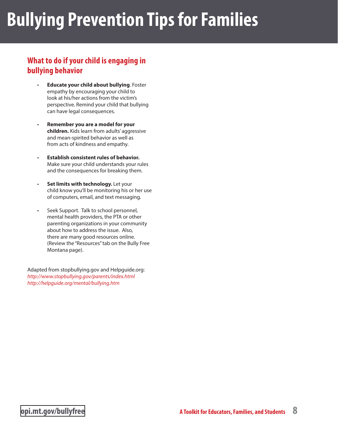# **Bullying Prevention Tips for Families**

### **What to do if your child is engaging in bullying behavior**

- **Educate your child about bullying**. Foster empathy by encouraging your child to look at his/her actions from the victim's perspective. Remind your child that bullying can have legal consequences.
- **Remember you are a model for your children.** Kids learn from adults' aggressive and mean-spirited behavior as well as from acts of kindness and empathy.
- **Establish consistent rules of behavior.** Make sure your child understands your rules and the consequences for breaking them.
- **Set limits with technology.** Let your child know you'll be monitoring his or her use of computers, email, and text messaging.
- Seek Support. Talk to school personnel, mental health providers, the PTA or other parenting organizations in your community about how to address the issue. Also, there are many good resources online. (Review the "Resources" tab on the Bully Free Montana page).

Adapted from stopbullying.gov and Helpguide.org: *http://www.stopbullying.gov/parents/index.html [http://helpguide.org/mental/bullying.htm](http://helpguide.org/mental/bullying.htm   )*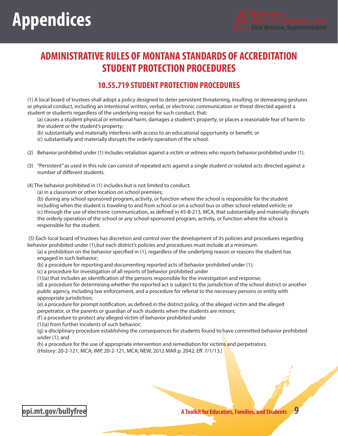

# **ADMINISTRATIVE RULES OF MONTANA STANDARDS OF ACCREDITATION STUDENT PROTECTION PROCEDURES**

#### **10.55.719 STUDENT PROTECTION PROCEDURES**

(1) A local board of trustees shall adopt a policy designed to deter persistent threatening, insulting, or demeaning gestures or physical conduct, including an intentional written, verbal, or electronic communication or threat directed against a student or students regardless of the underlying reason for such conduct, that:

(a) causes a student physical or emotional harm, damages a student's property, or places a reasonable fear of harm to the student or the student's property;

(b) substantially and materially interferes with access to an educational opportunity or benefit; or (c) substantially and materially disrupts the orderly operation of the school.

- (2) Behavior prohibited under (1) includes retaliation against a victim or witness who reports behavior prohibited under (1).
- (3) "Persistent" as used in this rule can consist of repeated acts against a single student or isolated acts directed against a number of different students.
- (4) The behavior prohibited in (1) includes but is not limited to conduct:
	- (a) in a classroom or other location on school premises;

 (b) during any school-sponsored program, activity, or function where the school is responsible for the student the orderly operation of the school or any school-sponsored program, activity, or function where the school is including when the student is traveling to and from school or on a school bus or other school-related vehicle; or (c) through the use of electronic communication, as defined in 45-8-213, MCA, that substantially and materially disrupts responsible for the student.

(5) Each local board of trustees has discretion and control over the development of its policies and procedures regarding behavior prohibited under (1),but each district's policies and procedures must include at a minimum:

(a) a prohibition on the behavior specified in (1), regardless of the underlying reason or reasons the student has engaged in such behavior;

(b) a procedure for reporting and documenting reported acts of behavior prohibited under (1);

(c) a procedure for investigation of all reports of behavior prohibited under

(1)(a) that includes an identification of the persons responsible for the investigation and response;

 public agency, including law enforcement, and a procedure for referral to the necessary persons or entity with (d) a procedure for determining whether the reported act is subject to the jurisdiction of the school district or another appropriate jurisdiction;

(e) a procedure for prompt notification, as defined in the district policy, of the alleged victim and the alleged perpetrator, or the parents or guardian of such students when the students are minors;

(f) a procedure to protect any alleged victim of behavior prohibited under

(1)(a) from further incidents of such behavior;

(g) a disciplinary procedure establishing the consequences for students found to have committed behavior prohibited under (1); and

(h) a procedure for the use of appropriate intervention and remediation for victims and perpetrators. (History: 20-2-121, MCA; IMP, 20-2-121, MCA; NEW, 2012 MAR p. 2042, Eff. 7/1/13.)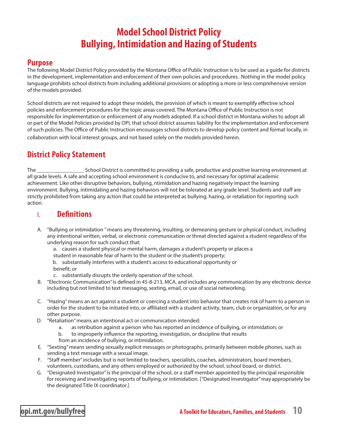# **Model School District Policy Bullying, Intimidation and Hazing of Students**

#### **Purpose**

The following Model District Policy provided by the Montana Office of Public Instruction is to be used as a guide for districts in the development, implementation and enforcement of their own policies and procedures. Nothing in the model policy language prohibits school districts from including additional provisions or adopting a more or less comprehensive version of the models provided.

School districts are not required to adopt these models, the provision of which is meant to exemplify effective school policies and enforcement procedures for the topic areas covered. The Montana Office of Public Instruction is not responsible for implementation or enforcement of any models adopted. If a school district in Montana wishes to adopt all or part of the Model Policies provided by OPI, that school district assumes liability for the implementation and enforcement of such policies. The Office of Public Instruction encourages school districts to develop policy content and format locally, in collaboration with local interest groups, and not based solely on the models provided herein.

#### **District Policy Statement**

The \_\_\_\_\_\_\_\_\_\_\_\_\_\_\_\_\_ School District is committed to providing a safe, productive and positive learning environment at all grade levels. A safe and accepting school environment is conducive to, and necessary for optimal academic achievement. Like other disruptive behaviors, bullying, ntimidation and hazing negatively impact the learning environment. Bullying, intimidating and hazing behaviors will not be tolerated at any grade level. Students and staff are strictly prohibited from taking any action that could be interpreted as bullying, hazing, or retaliation for reporting such action.

#### I. **Definitions**

- A. "Bullying or intimidation " means any threatening, insulting, or demeaning gesture or physical conduct, including any intentional written, verbal, or electronic communication or threat directed against a student regardless of the underlying reason for such conduct that:
	- a. causes a student physical or mental harm, damages a student's property or places a
	- b. substantially interferes with a student's access to educational opportunity or student in reasonable fear of harm to the student or the student's property;
	- benefit; or
	- c. substantially disrupts the orderly operation of the school.
- B. "Electronic Communication" is defined in 45-8-213, MCA, and includes any communication by any electronic device including but not limited to text messaging, sexting, email, or use of social networking.
- C. "Hazing" means an act against a student or coercing a student into behavior that creates risk of harm to a person in order for the student to be initiated into, or affiliated with a student activity, team, club or organization, or for any other purpose.
- D. "Retaliation" means an intentional act or communication intended:
	- a. as retribution against a person who has reported an incidence of bullying, or intimidation; or
	- b. to improperly influence the reporting, investigation, or discipline that results from an incidence of bullying, or intimidation.
- E. "Sexting" means sending sexually explicit messages or photographs, primarily between mobile phones, such as sending a text message with a sexual image.
- F. "Staff member" includes but is not limited to teachers, specialists, coaches, administrators, board members, volunteers, custodians, and any others employed or authorized by the school, school board, or district.
- G. "Designated Investigator" is the principal of the school, or a staff member appointed by the principal responsible for receiving and investigating reports of bullying, or intimidation. ["Designated Investigator" may appropriately be the designated Title IX coordinator.]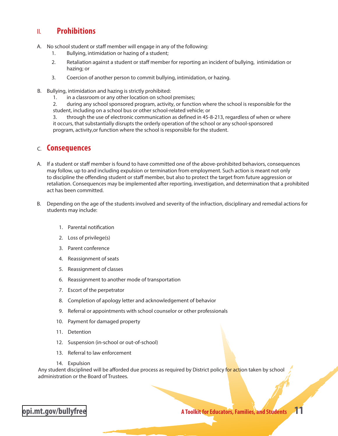#### II. **Prohibitions**

- A. No school student or staff member will engage in any of the following:
	- 1. Bullying, intimidation or hazing of a student;
	- $\mathfrak{D}$ . 2. Retaliation against a student or staff member for reporting an incident of bullying, intimidation or hazing; or
	- 3. Coercion of another person to commit bullying, intimidation, or hazing.
- B. Bullying, intimidation and hazing is strictly prohibited:
	- 1. in a classroom or any other location on school premises;
	- 2. during any school sponsored program, activity, or function where the school is responsible for the student, including on a school bus or other school-related vehicle; or

3. through the use of electronic communication as defined in 45-8-213, regardless of when or where it occurs, that substantially disrupts the orderly operation of the school or any school-sponsored program, activity,or function where the school is responsible for the student.

#### C. **Consequences**

- A. If a student or staff member is found to have committed one of the above-prohibited behaviors, consequences may follow, up to and including expulsion or termination from employment. Such action is meant not only to discipline the offending student or staff member, but also to protect the target from future aggression or retaliation. Consequences may be implemented after reporting, investigation, and determination that a prohibited act has been committed.
- B. Depending on the age of the students involved and severity of the infraction, disciplinary and remedial actions for students may include:
	- 1. Parental notification
	- 2. Loss of privilege(s)
	- 3. Parent conference
	- 4. Reassignment of seats
	- 5. Reassignment of classes
	- 6. Reassignment to another mode of transportation
	- 7. Escort of the perpetrator
	- 8. Completion of apology letter and acknowledgement of behavior
	- 9. Referral or appointments with school counselor or other professionals
	- 10. Payment for damaged property
	- 11. Detention
	- 12. Suspension (in-school or out-of-school)
	- 13. Referral to law enforcement
	- 14. Expulsion

Any student disciplined will be afforded due process as required by District policy for action taken by school administration or the Board of Trustees.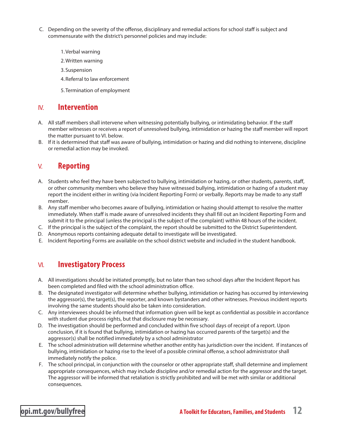- C. Depending on the severity of the offense, disciplinary and remedial actions for school staff is subject and commensurate with the district's personnel policies and may include:
	- 1. Verbal warning
	- 2. Written warning
	- 3. Suspension
	- 4. Referral to law enforcement
	- 5. Termination of employment

#### IV. **Intervention**

- A. All staff members shall intervene when witnessing potentially bullying, or intimidating behavior. If the staff member witnesses or receives a report of unresolved bullying, intimidation or hazing the staff member will report the matter pursuant to VI. below.
- B. If it is determined that staff was aware of bullying, intimidation or hazing and did nothing to intervene, discipline or remedial action may be invoked.

#### V. **Reporting**

- A. Students who feel they have been subjected to bullying, intimidation or hazing, or other students, parents, staff, or other community members who believe they have witnessed bullying, intimidation or hazing of a student may report the incident either in writing (via Incident Reporting Form) or verbally. Reports may be made to any staff member.
- B. Any staff member who becomes aware of bullying, intimidation or hazing should attempt to resolve the matter immediately. When staff is made aware of unresolved incidents they shall fill out an Incident Reporting Form and submit it to the principal (unless the principal is the subject of the complaint) within 48 hours of the incident.
- C. If the principal is the subject of the complaint, the report should be submitted to the District Superintendent.
- D. Anonymous reports containing adequate detail to investigate will be investigated.
- E. Incident Reporting Forms are available on the school district website and included in the student handbook.

#### VI. **Investigatory Process**

- A. All investigations should be initiated promptly, but no later than two school days after the Incident Report has been completed and filed with the school administration office.
- B. The designated investigator will determine whether bullying, intimidation or hazing has occurred by interviewing the aggressor(s), the target(s), the reporter, and known bystanders and other witnesses. Previous incident reports involving the same students should also be taken into consideration.
- C. Any interviewees should be informed that information given will be kept as confidential as possible in accordance with student due process rights, but that disclosure may be necessary.
- D. The investigation should be performed and concluded within five school days of receipt of a report. Upon conclusion, if it is found that bullying, intimidation or hazing has occurred parents of the target(s) and the aggressor(s) shall be notified immediately by a school administrator
- E. The school administration will determine whether another entity has jurisdiction over the incident. If instances of bullying, intimidation or hazing rise to the level of a possible criminal offense, a school administrator shall immediately notify the police.
- F. The school principal, in conjunction with the counselor or other appropriate staff, shall determine and implement appropriate consequences, which may include discipline and/or remedial action for the aggressor and the target. The aggressor will be informed that retaliation is strictly prohibited and will be met with similar or additional consequences.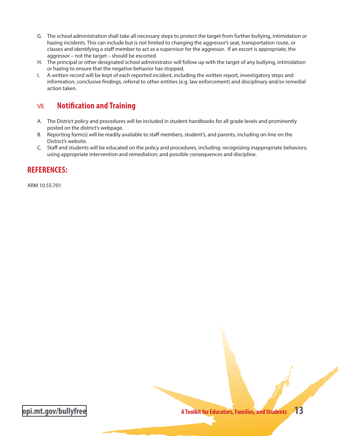- G. The school administration shall take all necessary steps to protect the target from further bullying, intimidation or hazing incidents. This can include but is not limited to changing the aggressor's seat, transportation route, or classes and identifying a staff member to act as a supervisor for the aggressor. If an escort is appropriate, the aggressor – not the target – should be escorted.
- H. The principal or other designated school administrator will follow up with the target of any bullying, intimidation or hazing to ensure that the negative behavior has stopped.
- I. A written record will be kept of each reported incident, including the written report, investigatory steps and information, conclusive findings, referral to other entities (e.g. law enforcement) and disciplinary and/or remedial action taken.

#### VII. **Notification and Training**

- A. The District policy and procedures will be included in student handbooks for all grade levels and prominently posted on the district's webpage.
- B. Reporting form(s) will be readily available to staff members, student's, and parents, including on-line on the District's website.
- C. Staff and students will be educated on the policy and procedures, including: recognizing inappropriate behaviors; using appropriate intervention and remediation; and possible consequences and discipline.

#### **REFERENCES:**

ARM 10.55.701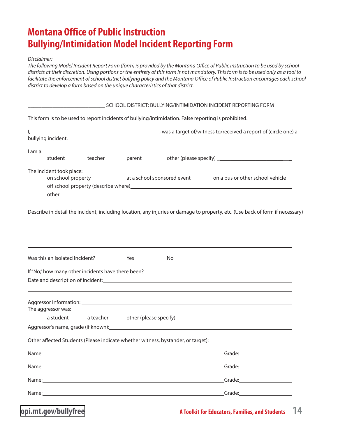# **Montana Office of Public Instruction Bullying/Intimidation Model Incident Reporting Form**

*Disclaimer:* 

*The following Model Incident Report Form (form) is provided by the Montana Office of Public Instruction to be used by school districts at their discretion. Using portions or the entirety of this form is not mandatory. This form is to be used only as a tool to facilitate the enforcement of school district bullying policy and the Montana Office of Public Instruction encourages each school district to develop a form based on the unique characteristics of that district.* 

|--|

This form is to be used to report incidents of bullying/intimidation. False reporting is prohibited.

| I,                                             |         |        |                                                                                                                                                                                                                               |                                                                                                                                                                                                                                |
|------------------------------------------------|---------|--------|-------------------------------------------------------------------------------------------------------------------------------------------------------------------------------------------------------------------------------|--------------------------------------------------------------------------------------------------------------------------------------------------------------------------------------------------------------------------------|
| bullying incident.                             |         |        |                                                                                                                                                                                                                               |                                                                                                                                                                                                                                |
| I am a:<br>student                             | teacher | parent |                                                                                                                                                                                                                               |                                                                                                                                                                                                                                |
| The incident took place:<br>on school property |         |        |                                                                                                                                                                                                                               | at a school sponsored event on a bus or other school vehicle<br>off school property (describe where) example and the state of school property (describe where)                                                                 |
|                                                |         |        |                                                                                                                                                                                                                               | Describe in detail the incident, including location, any injuries or damage to property, etc. (Use back of form if necessary)                                                                                                  |
| Was this an isolated incident?                 |         | Yes    | No                                                                                                                                                                                                                            |                                                                                                                                                                                                                                |
|                                                |         |        |                                                                                                                                                                                                                               | Date and description of incident: example and a state of the state of the state of the state of the state of the state of the state of the state of the state of the state of the state of the state of the state of the state |
| The aggressor was:                             |         |        |                                                                                                                                                                                                                               |                                                                                                                                                                                                                                |
|                                                |         |        | Other affected Students (Please indicate whether witness, bystander, or target):                                                                                                                                              |                                                                                                                                                                                                                                |
|                                                |         |        |                                                                                                                                                                                                                               |                                                                                                                                                                                                                                |
|                                                |         |        |                                                                                                                                                                                                                               |                                                                                                                                                                                                                                |
|                                                |         |        |                                                                                                                                                                                                                               |                                                                                                                                                                                                                                |
|                                                |         |        | Name: Name: Name: Name: Name: Name: Name: Name: Name: Name: Name: Name: Name: Name: Name: Name: Name: Name: Name: Name: Name: Name: Name: Name: Name: Name: Name: Name: Name: Name: Name: Name: Name: Name: Name: Name: Name: | Grade: The Contract of the Contract of the Contract of the Contract of the Contract of the Contract of the Contract of the Contract of the Contract of the Contract of the Contract of the Contract of the Contract of the Con |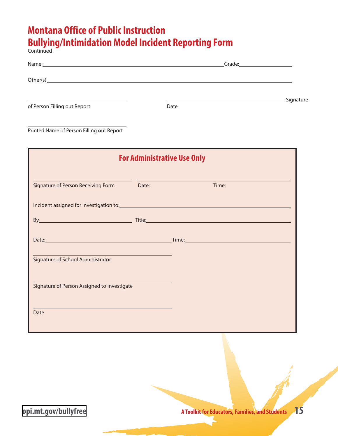#### **Montana Office of Public Instruction Bullying/Intimidation Model Incident Reporting Form** Continued

|                              |      | Grade: <b>Example 2018</b> |           |
|------------------------------|------|----------------------------|-----------|
|                              |      |                            |           |
|                              | Date |                            | Signature |
| of Person Filling out Report |      |                            |           |

Printed Name of Person Filling out Report

| <b>For Administrative Use Only</b>          |                        |       |  |
|---------------------------------------------|------------------------|-------|--|
| Signature of Person Receiving Form          | <b>Example 1</b> Date: | Time: |  |
|                                             |                        |       |  |
|                                             |                        |       |  |
|                                             |                        |       |  |
| Signature of School Administrator           |                        |       |  |
| Signature of Person Assigned to Investigate |                        |       |  |
| Date                                        |                        |       |  |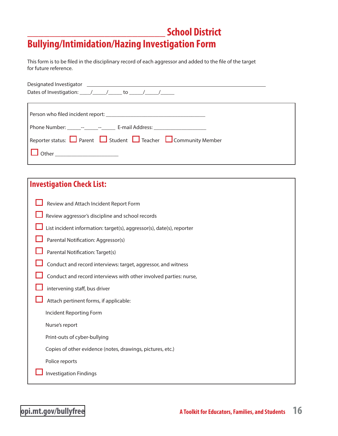# **\_\_\_\_\_\_\_\_\_\_\_\_\_\_\_\_\_\_\_\_\_\_\_\_\_ School District Bullying/Intimidation/Hazing Investigation Form**

This form is to be filed in the disciplinary record of each aggressor and added to the file of the target for future reference.

| Reporter status: $\Box$ Parent $\Box$ Student $\Box$ Teacher $\Box$ Community Member |  |
|--------------------------------------------------------------------------------------|--|
| <u>      Other ____________________</u>                                              |  |
|                                                                                      |  |

| <b>Investigation Check List:</b>                                      |
|-----------------------------------------------------------------------|
| Review and Attach Incident Report Form                                |
| Review aggressor's discipline and school records                      |
| List incident information: target(s), aggressor(s), date(s), reporter |
| Parental Notification: Aggressor(s)                                   |
| Parental Notification: Target(s)                                      |
| Conduct and record interviews: target, aggressor, and witness         |
| Conduct and record interviews with other involved parties: nurse,     |
| intervening staff, bus driver                                         |
| Attach pertinent forms, if applicable:                                |
| Incident Reporting Form                                               |
| Nurse's report                                                        |
| Print-outs of cyber-bullying                                          |
| Copies of other evidence (notes, drawings, pictures, etc.)            |
| Police reports                                                        |
| <b>Investigation Findings</b>                                         |
|                                                                       |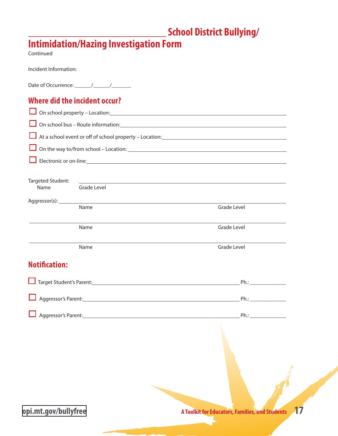# **\_\_\_\_\_\_\_\_\_\_\_\_\_\_\_\_\_\_\_\_\_\_\_\_\_ School District Bullying/**

# **Intimidation/Hazing Investigation Form**

Continued

Incident Information:

Date of Occurrence: \_\_\_\_\_\_/\_\_\_\_\_\_/\_\_\_\_\_\_\_

#### **Where did the incident occur?**

|                           |                    | Electronic or on-line: <u>contract the contract of the contract of the contract of the contract of the contract of</u> |
|---------------------------|--------------------|------------------------------------------------------------------------------------------------------------------------|
|                           |                    |                                                                                                                        |
| Targeted Student:<br>Name | <b>Grade Level</b> | ,我们也不会有什么。""我们的人,我们也不会有什么?""我们的人,我们也不会有什么?""我们的人,我们也不会有什么?""我们的人,我们也不会有什么?""我们的人                                       |
|                           | Name               | Grade Level                                                                                                            |
|                           | Name               | <b>Grade Level</b>                                                                                                     |
|                           | Name               | Grade Level                                                                                                            |
| <b>Notification:</b>      |                    |                                                                                                                        |
|                           |                    |                                                                                                                        |
|                           |                    |                                                                                                                        |
|                           |                    |                                                                                                                        |
|                           |                    |                                                                                                                        |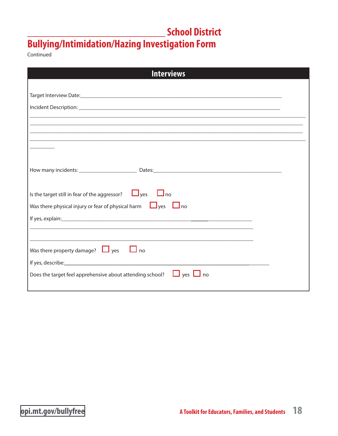# **School District Bullying/Intimidation/Hazing Investigation Form**

Continued

| <b>Interviews</b>                                                                                                                                                                                                              |  |  |  |  |
|--------------------------------------------------------------------------------------------------------------------------------------------------------------------------------------------------------------------------------|--|--|--|--|
|                                                                                                                                                                                                                                |  |  |  |  |
|                                                                                                                                                                                                                                |  |  |  |  |
|                                                                                                                                                                                                                                |  |  |  |  |
|                                                                                                                                                                                                                                |  |  |  |  |
| ,我们的人们就会在这里的人们,我们也不会在这里的人们,我们也不会在这里的人们,我们也不会在这里的人们,我们也不会在这里的人们,我们也不会在这里的人们,我们也不会                                                                                                                                               |  |  |  |  |
|                                                                                                                                                                                                                                |  |  |  |  |
|                                                                                                                                                                                                                                |  |  |  |  |
|                                                                                                                                                                                                                                |  |  |  |  |
| Is the target still in fear of the aggressor? $\Box$ yes $\Box$ no                                                                                                                                                             |  |  |  |  |
| Was there physical injury or fear of physical harm $\Box$ yes $\Box$ no                                                                                                                                                        |  |  |  |  |
|                                                                                                                                                                                                                                |  |  |  |  |
|                                                                                                                                                                                                                                |  |  |  |  |
| Was there property damage? $\Box$ yes $\Box$ no                                                                                                                                                                                |  |  |  |  |
| If yes, describe: the contract of the contract of the contract of the contract of the contract of the contract of the contract of the contract of the contract of the contract of the contract of the contract of the contract |  |  |  |  |
| Does the target feel apprehensive about attending school? $\Box$ yes $\Box$ no                                                                                                                                                 |  |  |  |  |
|                                                                                                                                                                                                                                |  |  |  |  |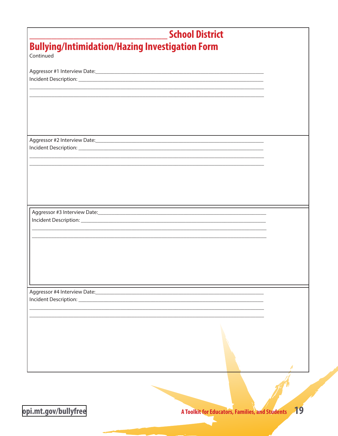| <b>School District</b>                                              |  |
|---------------------------------------------------------------------|--|
| <b>Bullying/Intimidation/Hazing Investigation Form</b><br>Continued |  |
|                                                                     |  |
|                                                                     |  |
|                                                                     |  |
|                                                                     |  |
|                                                                     |  |
|                                                                     |  |
|                                                                     |  |
|                                                                     |  |
|                                                                     |  |
| Aggressor #4 Interview Date:_______________                         |  |
|                                                                     |  |
|                                                                     |  |
|                                                                     |  |
|                                                                     |  |
|                                                                     |  |

opi.mt.gov/bullyfree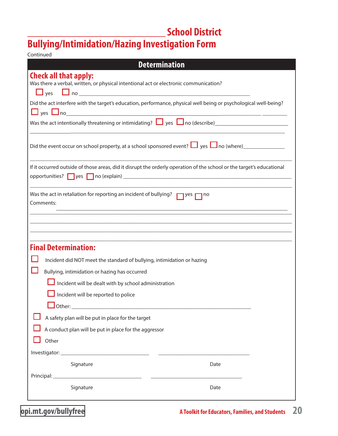## **\_\_\_\_\_\_\_\_\_\_\_\_\_\_\_\_\_\_\_\_\_\_\_\_\_ School District Bullying/Intimidation/Hazing Investigation Form**

| Continued                                                                                                                                       |
|-------------------------------------------------------------------------------------------------------------------------------------------------|
| <b>Determination</b>                                                                                                                            |
| <b>Check all that apply:</b><br>Was there a verbal, written, or physical intentional act or electronic communication?<br>$\Box$ yes             |
| Did the act interfere with the target's education, performance, physical well being or psychological well-being?<br>$\Box$ yes $\Box$ no $\Box$ |
|                                                                                                                                                 |
| If it occurred outside of those areas, did it disrupt the orderly operation of the school or the target's educational                           |
| Was the act in retaliation for reporting an incident of bullying? $\Box$ yes $\Box$ no<br>Comments:                                             |
|                                                                                                                                                 |
| <b>Final Determination:</b>                                                                                                                     |
| Incident did NOT meet the standard of bullying, intimidation or hazing                                                                          |
| Bullying, intimidation or hazing has occurred                                                                                                   |
| Incident will be dealt with by school administration                                                                                            |
| Incident will be reported to police                                                                                                             |
|                                                                                                                                                 |
| A safety plan will be put in place for the target                                                                                               |
| A conduct plan will be put in place for the aggressor                                                                                           |
| Other                                                                                                                                           |
|                                                                                                                                                 |
| Signature<br>Date                                                                                                                               |
| Signature<br>Date                                                                                                                               |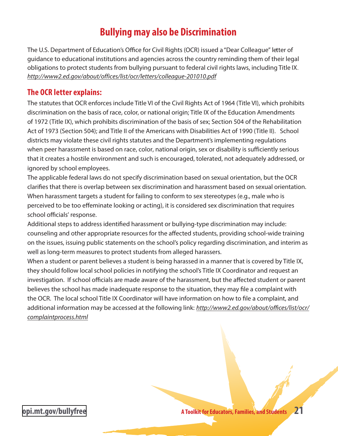# **Bullying may also be Discrimination**

The U.S. Department of Education's Office for Civil Rights (OCR) issued a "Dear Colleague" letter of guidance to educational institutions and agencies across the country reminding them of their legal obligations to protect students from bullying pursuant to federal civil rights laws, including Title IX. *http://www2.ed.gov/about/offices/list/ocr/letters/colleague-201010.pdf* 

#### **The OCR letter explains:**

The statutes that OCR enforces include Title VI of the Civil Rights Act of 1964 (Title VI), which prohibits discrimination on the basis of race, color, or national origin; Title IX of the Education Amendments of 1972 (Title IX), which prohibits discrimination of the basis of sex; Section 504 of the Rehabilitation Act of 1973 (Section 504); and Title II of the Americans with Disabilities Act of 1990 (Title II). School districts may violate these civil rights statutes and the Department's implementing regulations when peer harassment is based on race, color, national origin, sex or disability is sufficiently serious that it creates a hostile environment and such is encouraged, tolerated, not adequately addressed, or ignored by school employees.

The applicable federal laws do not specify discrimination based on sexual orientation, but the OCR clarifies that there is overlap between sex discrimination and harassment based on sexual orientation.<br>When harassment targets a student for failing to conform to sex stereotypes (e.g., male who is perceived to be too effeminate looking or acting), it is considered sex discrimination that requires school officials' response.

Additional steps to address identified harassment or bullying-type discrimination may include: counseling and other appropriate resources for the affected students, providing school-wide training on the issues, issuing public statements on the school's policy regarding discrimination, and interim as well as long-term measures to protect students from alleged harassers.

When a student or parent believes a student is being harassed in a manner that is covered by Title IX, they should follow local school policies in notifying the school's Title IX Coordinator and request an investigation. If school officials are made aware of the harassment, but the affected student or parent believes the school has made inadequate response to the situation, they may file a complaint with the OCR. The local school Title IX Coordinator will have information on how to file a complaint, and additional information may be accessed at the following link: *http://www2.ed.gov/about/offices/list/ocr/ complaintprocess.html*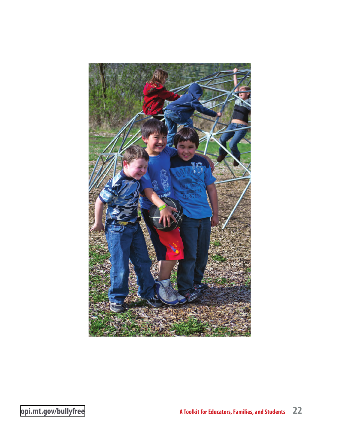